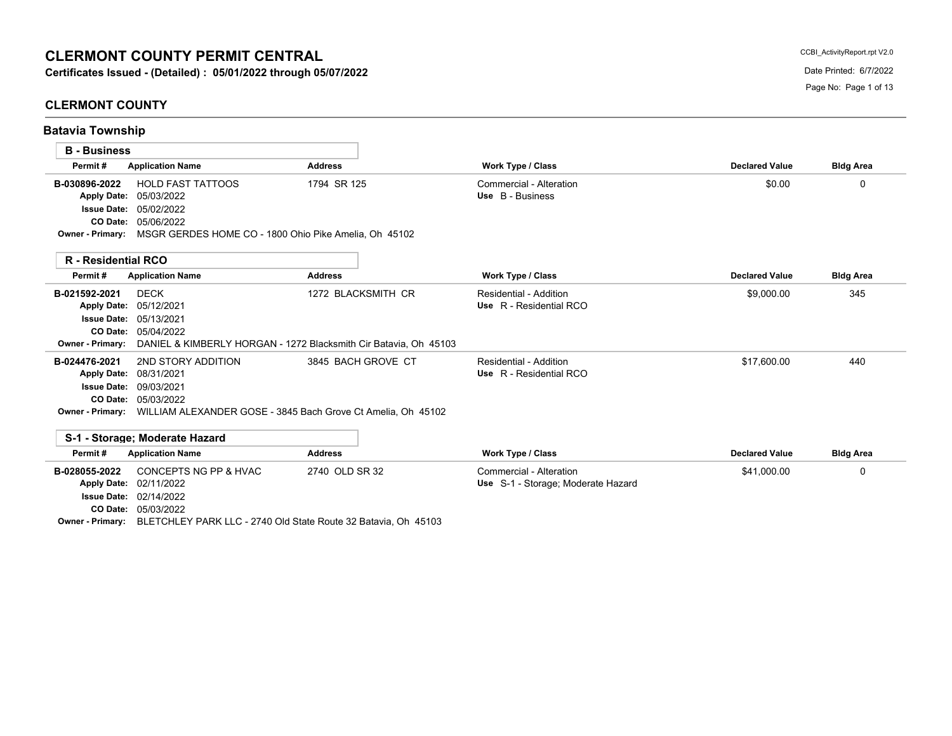# **CLERMONT COUNTY PERMIT CENTRAL**

# **CLERMONT COUNTY**

**Batavia Township**

CCBI\_ActivityReport.rpt V2.0

| <b>B</b> - Business        |                                                       |                                                                  |                                    |                       |                  |
|----------------------------|-------------------------------------------------------|------------------------------------------------------------------|------------------------------------|-----------------------|------------------|
| Permit#                    | <b>Application Name</b>                               | <b>Address</b>                                                   | <b>Work Type / Class</b>           | <b>Declared Value</b> | <b>Bldg Area</b> |
| B-030896-2022              | <b>HOLD FAST TATTOOS</b>                              | 1794 SR 125                                                      | Commercial - Alteration            | \$0.00                | 0                |
| <b>Apply Date:</b>         | 05/03/2022                                            |                                                                  | Use B - Business                   |                       |                  |
| <b>Issue Date:</b>         | 05/02/2022                                            |                                                                  |                                    |                       |                  |
| CO Date:                   | 05/06/2022                                            |                                                                  |                                    |                       |                  |
| Owner - Primary:           | MSGR GERDES HOME CO - 1800 Ohio Pike Amelia, Oh 45102 |                                                                  |                                    |                       |                  |
| <b>R</b> - Residential RCO |                                                       |                                                                  |                                    |                       |                  |
| Permit#                    | <b>Application Name</b>                               | <b>Address</b>                                                   | <b>Work Type / Class</b>           | <b>Declared Value</b> | <b>Bldg Area</b> |
| B-021592-2021              | <b>DECK</b>                                           | 1272 BLACKSMITH CR                                               | Residential - Addition             | \$9,000.00            | 345              |
| <b>Apply Date:</b>         | 05/12/2021                                            |                                                                  | Use R - Residential RCO            |                       |                  |
| <b>Issue Date:</b>         | 05/13/2021                                            |                                                                  |                                    |                       |                  |
| CO Date:                   | 05/04/2022                                            |                                                                  |                                    |                       |                  |
| Owner - Primary:           |                                                       | DANIEL & KIMBERLY HORGAN - 1272 Blacksmith Cir Batavia, Oh 45103 |                                    |                       |                  |
| B-024476-2021              | 2ND STORY ADDITION                                    | 3845 BACH GROVE CT                                               | Residential - Addition             | \$17.600.00           | 440              |
| <b>Apply Date:</b>         | 08/31/2021                                            |                                                                  | Use R - Residential RCO            |                       |                  |
| <b>Issue Date:</b>         | 09/03/2021                                            |                                                                  |                                    |                       |                  |
| CO Date:                   | 05/03/2022                                            |                                                                  |                                    |                       |                  |
| <b>Owner - Primary:</b>    |                                                       | WILLIAM ALEXANDER GOSE - 3845 Bach Grove Ct Amelia, Oh 45102     |                                    |                       |                  |
|                            | S-1 - Storage: Moderate Hazard                        |                                                                  |                                    |                       |                  |
| Permit#                    | <b>Application Name</b>                               | <b>Address</b>                                                   | Work Type / Class                  | <b>Declared Value</b> | <b>Bldg Area</b> |
| B-028055-2022              | CONCEPTS NG PP & HVAC                                 | 2740 OLD SR 32                                                   | Commercial - Alteration            | \$41,000.00           | $\mathbf{0}$     |
|                            | Apply Date: 02/11/2022                                |                                                                  | Use S-1 - Storage; Moderate Hazard |                       |                  |

02/14/2022 **Issue Date:** Apply Date: 02/11/2022

05/03/2022 **CO Date:**

**Owner - Primary:** BLETCHLEY PARK LLC - 2740 Old State Route 32 Batavia, Oh 45103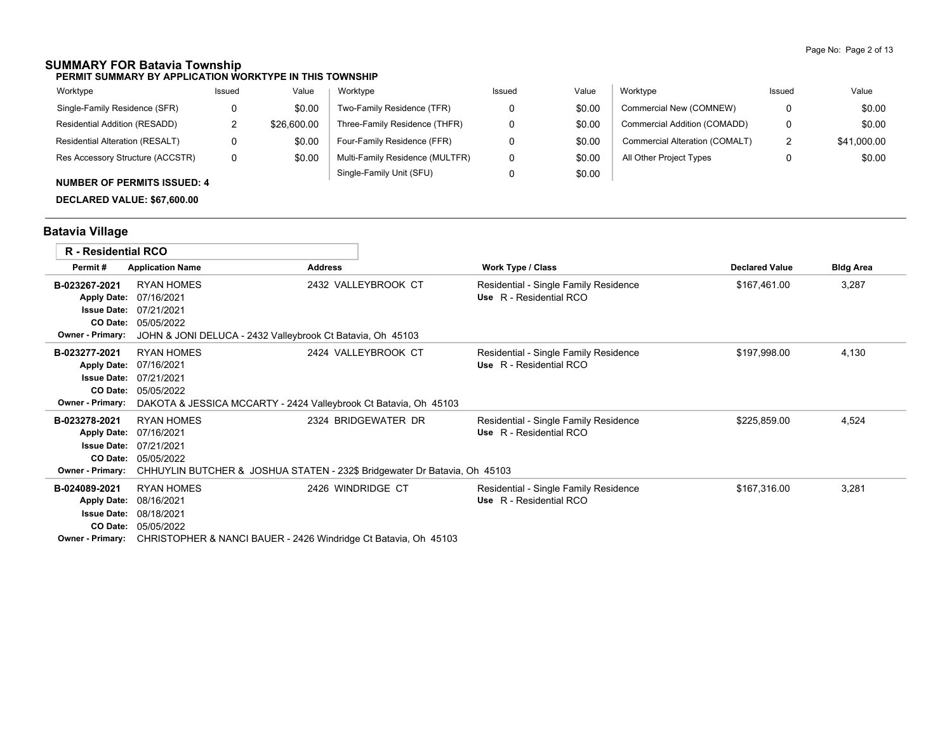## **SUMMARY FOR Batavia Township**

**PERMIT SUMMARY BY APPLICATION WORKTYPE IN THIS TOWNSHIP**

| Worktype                         | Issued | Value       | Worktype                        | Issued | Value  | Worktype                       | Issued        | Value       |
|----------------------------------|--------|-------------|---------------------------------|--------|--------|--------------------------------|---------------|-------------|
| Single-Family Residence (SFR)    |        | \$0.00      | Two-Family Residence (TFR)      |        | \$0.00 | Commercial New (COMNEW)        | 0             | \$0.00      |
| Residential Addition (RESADD)    |        | \$26,600.00 | Three-Family Residence (THFR)   |        | \$0.00 | Commercial Addition (COMADD)   | 0             | \$0.00      |
| Residential Alteration (RESALT)  |        | \$0.00      | Four-Family Residence (FFR)     |        | \$0.00 | Commercial Alteration (COMALT) | ົ<br><u>_</u> | \$41,000.00 |
| Res Accessory Structure (ACCSTR) | 0      | \$0.00      | Multi-Family Residence (MULTFR) |        | \$0.00 | All Other Project Types        |               | \$0.00      |
|                                  |        |             | Single-Family Unit (SFU)        |        | \$0.00 |                                |               |             |

### **NUMBER OF PERMITS ISSUED: 4**

**DECLARED VALUE: \$67,600.00**

# **Batavia Village**

| <b>R</b> - Residential RCO |                                                                  |                                                                           |                                       |                       |                  |
|----------------------------|------------------------------------------------------------------|---------------------------------------------------------------------------|---------------------------------------|-----------------------|------------------|
| Permit#                    | <b>Application Name</b>                                          | <b>Address</b>                                                            | Work Type / Class                     | <b>Declared Value</b> | <b>Bldg Area</b> |
| B-023267-2021              | <b>RYAN HOMES</b>                                                | 2432 VALLEYBROOK CT                                                       | Residential - Single Family Residence | \$167,461.00          | 3,287            |
| <b>Apply Date:</b>         | 07/16/2021                                                       |                                                                           | Use R - Residential RCO               |                       |                  |
| <b>Issue Date:</b>         | 07/21/2021                                                       |                                                                           |                                       |                       |                  |
| CO Date:                   | 05/05/2022                                                       |                                                                           |                                       |                       |                  |
| Owner - Primary:           | JOHN & JONI DELUCA - 2432 Valleybrook Ct Batavia, Oh 45103       |                                                                           |                                       |                       |                  |
| B-023277-2021              | <b>RYAN HOMES</b>                                                | 2424 VALLEYBROOK CT                                                       | Residential - Single Family Residence | \$197,998.00          | 4,130            |
| <b>Apply Date:</b>         | 07/16/2021                                                       |                                                                           | Use R - Residential RCO               |                       |                  |
| <b>Issue Date:</b>         | 07/21/2021                                                       |                                                                           |                                       |                       |                  |
| CO Date:                   | 05/05/2022                                                       |                                                                           |                                       |                       |                  |
| Owner - Primary:           | DAKOTA & JESSICA MCCARTY - 2424 Valleybrook Ct Batavia, Oh 45103 |                                                                           |                                       |                       |                  |
| B-023278-2021              | <b>RYAN HOMES</b>                                                | 2324 BRIDGEWATER DR                                                       | Residential - Single Family Residence | \$225,859.00          | 4,524            |
| <b>Apply Date:</b>         | 07/16/2021                                                       |                                                                           | Use R - Residential RCO               |                       |                  |
| <b>Issue Date:</b>         | 07/21/2021                                                       |                                                                           |                                       |                       |                  |
| <b>CO Date:</b>            | 05/05/2022                                                       |                                                                           |                                       |                       |                  |
| Owner - Primary:           |                                                                  | CHHUYLIN BUTCHER & JOSHUA STATEN - 232\$ Bridgewater Dr Batavia, Oh 45103 |                                       |                       |                  |
| B-024089-2021              | <b>RYAN HOMES</b>                                                | 2426 WINDRIDGE CT                                                         | Residential - Single Family Residence | \$167,316.00          | 3,281            |
| <b>Apply Date:</b>         | 08/16/2021                                                       |                                                                           | Use R - Residential RCO               |                       |                  |
| <b>Issue Date:</b>         | 08/18/2021                                                       |                                                                           |                                       |                       |                  |
| CO Date:                   | 05/05/2022                                                       |                                                                           |                                       |                       |                  |
| Owner - Primary:           | CHRISTOPHER & NANCI BAUER - 2426 Windridge Ct Batavia, Oh 45103  |                                                                           |                                       |                       |                  |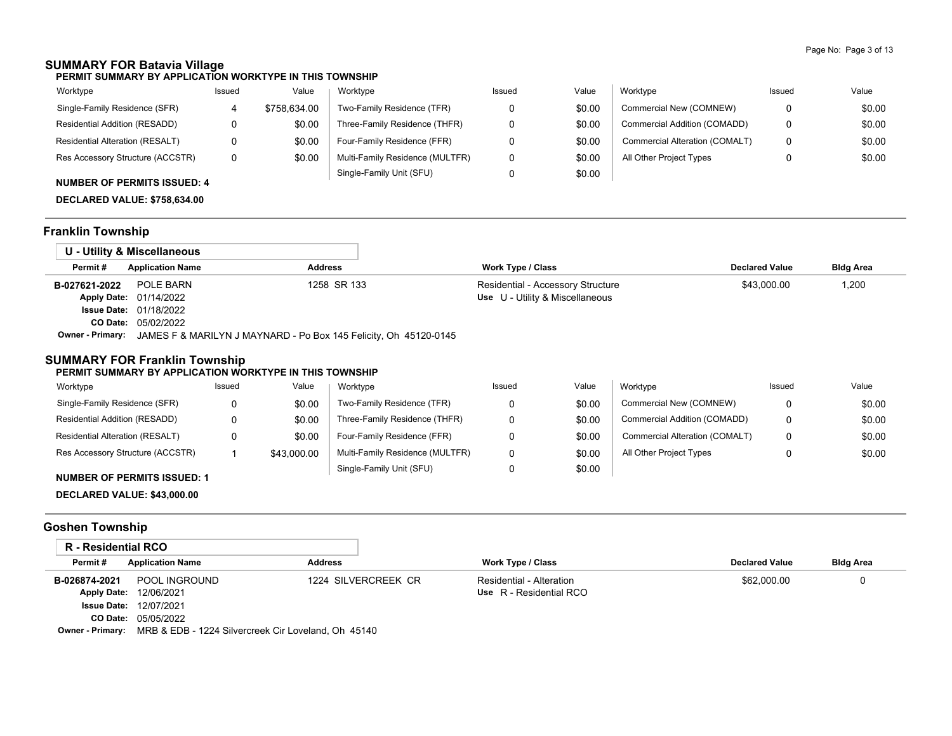# **SUMMARY FOR Batavia Village**

**PERMIT SUMMARY BY APPLICATION WORKTYPE IN THIS TOWNSHIP**

| Worktype                                                                                                                                                                                                                                                                                                                                                                                                                                                   | Issued | Value        | Worktype                        | Issued | Value  | Worktype                       | Issued | Value  |
|------------------------------------------------------------------------------------------------------------------------------------------------------------------------------------------------------------------------------------------------------------------------------------------------------------------------------------------------------------------------------------------------------------------------------------------------------------|--------|--------------|---------------------------------|--------|--------|--------------------------------|--------|--------|
| Single-Family Residence (SFR)                                                                                                                                                                                                                                                                                                                                                                                                                              |        | \$758.634.00 | Two-Family Residence (TFR)      |        | \$0.00 | Commercial New (COMNEW)        |        | \$0.00 |
| Residential Addition (RESADD)                                                                                                                                                                                                                                                                                                                                                                                                                              |        | \$0.00       | Three-Family Residence (THFR)   |        | \$0.00 | Commercial Addition (COMADD)   |        | \$0.00 |
| <b>Residential Alteration (RESALT)</b>                                                                                                                                                                                                                                                                                                                                                                                                                     |        | \$0.00       | Four-Family Residence (FFR)     |        | \$0.00 | Commercial Alteration (COMALT) |        | \$0.00 |
| Res Accessory Structure (ACCSTR)                                                                                                                                                                                                                                                                                                                                                                                                                           |        | \$0.00       | Multi-Family Residence (MULTFR) |        | \$0.00 | All Other Project Types        |        | \$0.00 |
| $\mathbf{1} \cup \mathbf{1} \cup \mathbf{2} \cup \mathbf{3} \cup \mathbf{4} \cup \mathbf{5} \cup \mathbf{6} \cup \mathbf{5} \cup \mathbf{6} \cup \mathbf{7} \cup \mathbf{8} \cup \mathbf{8} \cup \mathbf{9} \cup \mathbf{1} \cup \mathbf{1} \cup \mathbf{1} \cup \mathbf{1} \cup \mathbf{1} \cup \mathbf{1} \cup \mathbf{1} \cup \mathbf{1} \cup \mathbf{1} \cup \mathbf{1} \cup \mathbf{1} \cup \mathbf{1} \cup \mathbf{1} \cup \mathbf{1} \cup \mathbf{$ |        |              | Single-Family Unit (SFU)        |        | \$0.00 |                                |        |        |

#### **NUMBER OF PERMITS ISSUED: 4**

**DECLARED VALUE: \$758,634.00**

# **Franklin Township**

|               | U - Utility & Miscellaneous                                                              |                |                                   |                       |                  |
|---------------|------------------------------------------------------------------------------------------|----------------|-----------------------------------|-----------------------|------------------|
| Permit#       | <b>Application Name</b>                                                                  | <b>Address</b> | <b>Work Type / Class</b>          | <b>Declared Value</b> | <b>Bldg Area</b> |
| B-027621-2022 | POLE BARN                                                                                | 1258 SR 133    | Residential - Accessory Structure | \$43,000.00           | 1,200            |
|               | <b>Apply Date: 01/14/2022</b>                                                            |                | Use U - Utility & Miscellaneous   |                       |                  |
|               | <b>Issue Date: 01/18/2022</b>                                                            |                |                                   |                       |                  |
|               | <b>CO Date: 05/02/2022</b>                                                               |                |                                   |                       |                  |
|               | <b>Owner - Primary:</b> JAMES F & MARILYN J MAYNARD - Po Box 145 Felicity, Oh 45120-0145 |                |                                   |                       |                  |

### **SUMMARY FOR Franklin Township**

#### **PERMIT SUMMARY BY APPLICATION WORKTYPE IN THIS TOWNSHIP**

| Worktype                         | Issued | Value       | Worktype                        | Issued | Value  | Worktype                       | Issued | Value  |
|----------------------------------|--------|-------------|---------------------------------|--------|--------|--------------------------------|--------|--------|
| Single-Family Residence (SFR)    |        | \$0.00      | Two-Family Residence (TFR)      |        | \$0.00 | Commercial New (COMNEW)        | 0      | \$0.00 |
| Residential Addition (RESADD)    |        | \$0.00      | Three-Family Residence (THFR)   |        | \$0.00 | Commercial Addition (COMADD)   | 0      | \$0.00 |
| Residential Alteration (RESALT)  |        | \$0.00      | Four-Family Residence (FFR)     |        | \$0.00 | Commercial Alteration (COMALT) | 0      | \$0.00 |
| Res Accessory Structure (ACCSTR) |        | \$43,000.00 | Multi-Family Residence (MULTFR) |        | \$0.00 | All Other Project Types        |        | \$0.00 |
|                                  |        |             | Single-Family Unit (SFU)        |        | \$0.00 |                                |        |        |

#### **NUMBER OF PERMITS ISSUED: 1**

**DECLARED VALUE: \$43,000.00**

# **Goshen Township**

| R - Residential RCO |                                                                             |                     |                          |                       |                  |
|---------------------|-----------------------------------------------------------------------------|---------------------|--------------------------|-----------------------|------------------|
| Permit#             | <b>Application Name</b>                                                     | <b>Address</b>      | Work Type / Class        | <b>Declared Value</b> | <b>Bldg Area</b> |
| B-026874-2021       | POOL INGROUND                                                               | 1224 SILVERCREEK CR | Residential - Alteration | \$62,000.00           |                  |
|                     | Apply Date: 12/06/2021                                                      |                     | Use R - Residential RCO  |                       |                  |
|                     | <b>Issue Date: 12/07/2021</b>                                               |                     |                          |                       |                  |
|                     | <b>CO Date: 05/05/2022</b>                                                  |                     |                          |                       |                  |
|                     | <b>Owner - Primary:</b> MRB & EDB - 1224 Silvercreek Cir Loveland, Oh 45140 |                     |                          |                       |                  |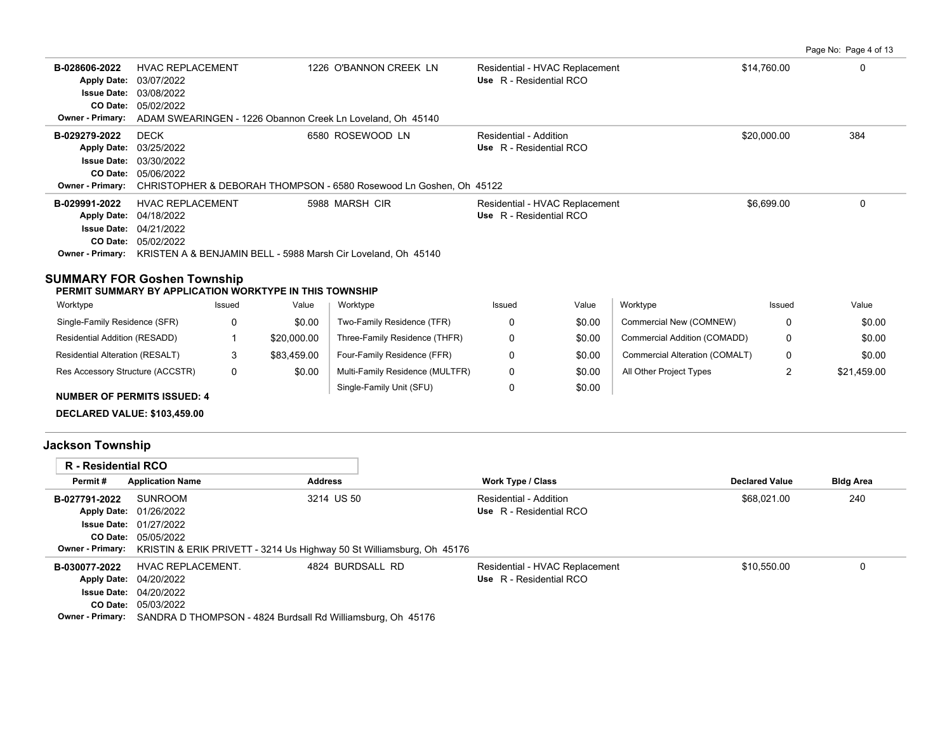Page No: Page 4 of 13

| B-028606-2022<br><b>Apply Date:</b><br><b>Issue Date:</b><br>CO Date: | <b>HVAC REPLACEMENT</b><br>03/07/2022<br>03/08/2022<br>05/02/2022<br>Owner - Primary: ADAM SWEARINGEN - 1226 Obannon Creek Ln Loveland, Oh 45140                                            | 1226 O'BANNON CREEK LN | Residential - HVAC Replacement<br>Use R - Residential RCO | \$14,760.00 | 0   |
|-----------------------------------------------------------------------|---------------------------------------------------------------------------------------------------------------------------------------------------------------------------------------------|------------------------|-----------------------------------------------------------|-------------|-----|
| B-029279-2022                                                         | <b>DECK</b><br>Apply Date: 03/25/2022<br><b>Issue Date: 03/30/2022</b><br>CO Date: 05/06/2022<br><b>Owner - Primary:</b> CHRISTOPHER & DEBORAH THOMPSON - 6580 Rosewood Ln Goshen, Oh 45122 | 6580 ROSEWOOD LN       | Residential - Addition<br>Use R - Residential RCO         | \$20,000.00 | 384 |
| B-029991-2022<br>Owner - Primary:                                     | <b>HVAC REPLACEMENT</b><br>Apply Date: 04/18/2022<br><b>Issue Date: 04/21/2022</b><br>CO Date: 05/02/2022<br>KRISTEN A & BENJAMIN BELL - 5988 Marsh Cir Loveland, Oh 45140                  | 5988 MARSH CIR         | Residential - HVAC Replacement<br>Use R - Residential RCO | \$6,699.00  | 0   |

## **SUMMARY FOR Goshen Township**

**PERMIT SUMMARY BY APPLICATION WORKTYPE IN THIS TOWNSHIP**

| Worktype                         | Issued | Value       | Worktype                        | Issued | Value  | Worktype                       | Issued | Value       |
|----------------------------------|--------|-------------|---------------------------------|--------|--------|--------------------------------|--------|-------------|
| Single-Family Residence (SFR)    |        | \$0.00      | Two-Family Residence (TFR)      |        | \$0.00 | Commercial New (COMNEW)        |        | \$0.00      |
| Residential Addition (RESADD)    |        | \$20,000.00 | Three-Family Residence (THFR)   |        | \$0.00 | Commercial Addition (COMADD)   |        | \$0.00      |
| Residential Alteration (RESALT)  |        | \$83.459.00 | Four-Family Residence (FFR)     |        | \$0.00 | Commercial Alteration (COMALT) | 0      | \$0.00      |
| Res Accessory Structure (ACCSTR) | 0      | \$0.00      | Multi-Family Residence (MULTFR) |        | \$0.00 | All Other Project Types        |        | \$21,459.00 |
| NUMBER OF BERMITO ICCUER, A      |        |             | Single-Family Unit (SFU)        |        | \$0.00 |                                |        |             |

**NUMBER OF PERMITS ISSUED: 4**

**DECLARED VALUE: \$103,459.00**

# **Jackson Township**

| <b>R</b> - Residential RCO |                                                                                        |                  |                                |                       |                  |
|----------------------------|----------------------------------------------------------------------------------------|------------------|--------------------------------|-----------------------|------------------|
| Permit#                    | <b>Application Name</b>                                                                | <b>Address</b>   | <b>Work Type / Class</b>       | <b>Declared Value</b> | <b>Bldg Area</b> |
| B-027791-2022              | SUNROOM                                                                                | 3214 US 50       | Residential - Addition         | \$68.021.00           | 240              |
|                            | Apply Date: 01/26/2022                                                                 |                  | Use R - Residential RCO        |                       |                  |
|                            | <b>Issue Date: 01/27/2022</b>                                                          |                  |                                |                       |                  |
|                            | <b>CO Date: 05/05/2022</b>                                                             |                  |                                |                       |                  |
|                            | Owner - Primary: KRISTIN & ERIK PRIVETT - 3214 Us Highway 50 St Williamsburg, Oh 45176 |                  |                                |                       |                  |
| B-030077-2022              | HVAC REPLACEMENT.                                                                      | 4824 BURDSALL RD | Residential - HVAC Replacement | \$10.550.00           | 0                |
|                            | <b>Apply Date: 04/20/2022</b>                                                          |                  | Use R - Residential RCO        |                       |                  |
|                            | <b>Issue Date: 04/20/2022</b>                                                          |                  |                                |                       |                  |
|                            | <b>CO Date: 05/03/2022</b>                                                             |                  |                                |                       |                  |
|                            | <b>Owner - Primary:</b> SANDRA D THOMPSON - 4824 Burdsall Rd Williamsburg, Oh 45176    |                  |                                |                       |                  |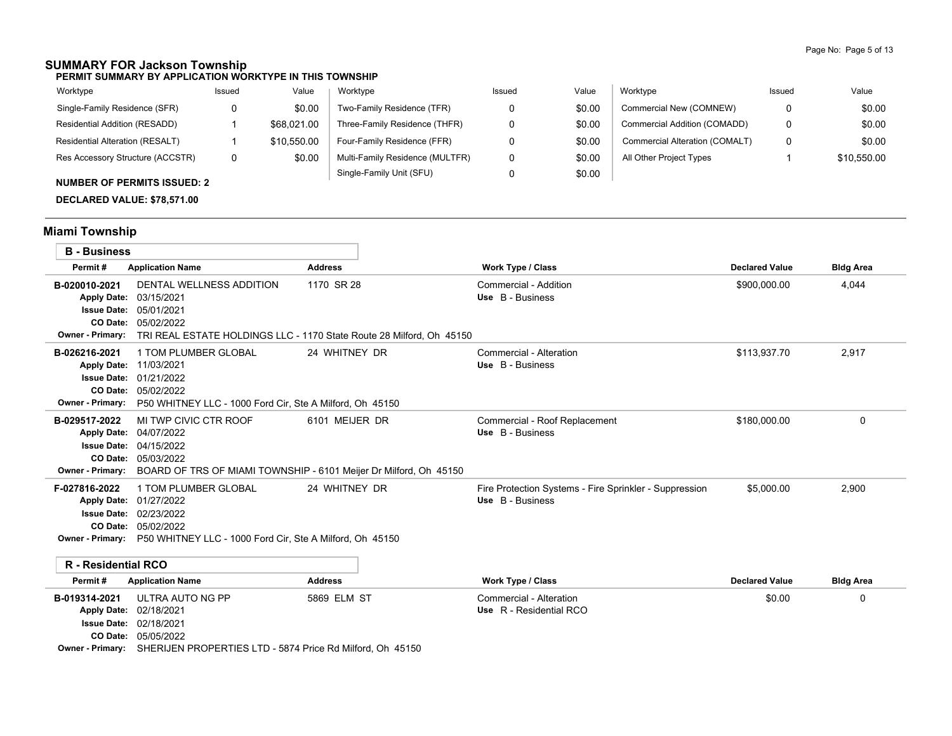## **SUMMARY FOR Jackson Township**

**PERMIT SUMMARY BY APPLICATION WORKTYPE IN THIS TOWNSHIP**

| Worktype                         | Issued | Value       | Worktype                        | Issued | Value  | Worktype                       | Issued | Value       |
|----------------------------------|--------|-------------|---------------------------------|--------|--------|--------------------------------|--------|-------------|
| Single-Family Residence (SFR)    |        | \$0.00      | Two-Family Residence (TFR)      |        | \$0.00 | Commercial New (COMNEW)        | 0      | \$0.00      |
| Residential Addition (RESADD)    |        | \$68,021.00 | Three-Family Residence (THFR)   |        | \$0.00 | Commercial Addition (COMADD)   | 0      | \$0.00      |
| Residential Alteration (RESALT)  |        | \$10.550.00 | Four-Family Residence (FFR)     |        | \$0.00 | Commercial Alteration (COMALT) | 0      | \$0.00      |
| Res Accessory Structure (ACCSTR) | 0      | \$0.00      | Multi-Family Residence (MULTFR) |        | \$0.00 | All Other Project Types        |        | \$10.550.00 |
| $\ddot{ }$                       |        |             | Single-Family Unit (SFU)        |        | \$0.00 |                                |        |             |

### **NUMBER OF PERMITS ISSUED: 2**

**DECLARED VALUE: \$78,571.00**

# **Miami Township**

| <b>B</b> - Business                                     |                                                                                                                                                                                     |                                                                                     |                                                                            |                       |                  |
|---------------------------------------------------------|-------------------------------------------------------------------------------------------------------------------------------------------------------------------------------------|-------------------------------------------------------------------------------------|----------------------------------------------------------------------------|-----------------------|------------------|
| Permit#                                                 | <b>Application Name</b>                                                                                                                                                             | <b>Address</b>                                                                      | <b>Work Type / Class</b>                                                   | <b>Declared Value</b> | <b>Bldg Area</b> |
| B-020010-2021<br><b>Apply Date:</b><br>Owner - Primary: | DENTAL WELLNESS ADDITION<br>03/15/2021<br><b>Issue Date: 05/01/2021</b><br>CO Date: 05/02/2022                                                                                      | 1170 SR 28<br>TRI REAL ESTATE HOLDINGS LLC - 1170 State Route 28 Milford, Oh 45150  | Commercial - Addition<br>Use B - Business                                  | \$900,000.00          | 4.044            |
| B-026216-2021<br>Owner - Primary:                       | 1 TOM PLUMBER GLOBAL<br>Apply Date: 11/03/2021<br><b>Issue Date: 01/21/2022</b><br>CO Date: 05/02/2022<br>P50 WHITNEY LLC - 1000 Ford Cir, Ste A Milford, Oh 45150                  | 24 WHITNEY DR                                                                       | Commercial - Alteration<br>Use B - Business                                | \$113,937.70          | 2,917            |
| B-029517-2022<br>Owner - Primary:                       | MI TWP CIVIC CTR ROOF<br>Apply Date: 04/07/2022<br><b>Issue Date: 04/15/2022</b><br>CO Date: 05/03/2022                                                                             | 6101 MEIJER DR<br>BOARD OF TRS OF MIAMI TOWNSHIP - 6101 Meijer Dr Milford, Oh 45150 | Commercial - Roof Replacement<br>Use B - Business                          | \$180,000.00          | $\Omega$         |
| F-027816-2022                                           | 1 TOM PLUMBER GLOBAL<br>Apply Date: 01/27/2022<br><b>Issue Date: 02/23/2022</b><br>CO Date: 05/02/2022<br>Owner - Primary: P50 WHITNEY LLC - 1000 Ford Cir, Ste A Milford, Oh 45150 | 24 WHITNEY DR                                                                       | Fire Protection Systems - Fire Sprinkler - Suppression<br>Use B - Business | \$5,000.00            | 2,900            |
| <b>R</b> - Residential RCO                              |                                                                                                                                                                                     |                                                                                     |                                                                            |                       |                  |
| Permit#                                                 | <b>Application Name</b>                                                                                                                                                             | <b>Address</b>                                                                      | <b>Work Type / Class</b>                                                   | <b>Declared Value</b> | <b>Bldg Area</b> |
| B-019314-2021                                           | ULTRA AUTO NG PP<br>Apply Date: 02/18/2021<br><b>Issue Date: 02/18/2021</b><br>CO Date: 05/05/2022                                                                                  | 5869 ELM ST                                                                         | Commercial - Alteration<br>Use R - Residential RCO                         | \$0.00                | $\Omega$         |

**Owner - Primary:** SHERIJEN PROPERTIES LTD - 5874 Price Rd Milford, Oh 45150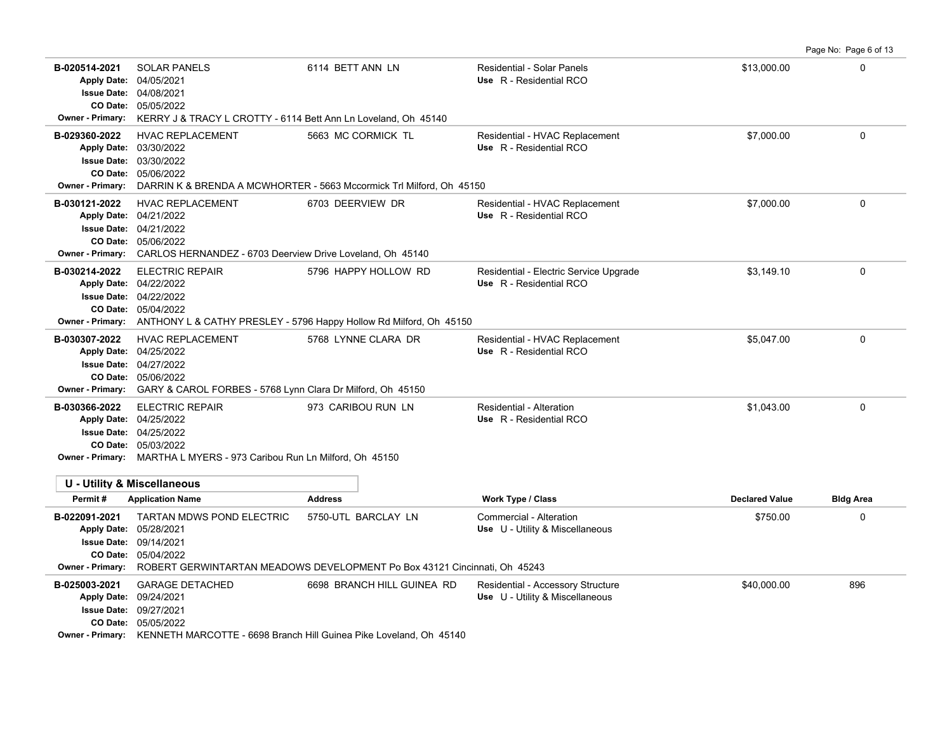**B-020514-2021** \$13,000.00 0 SOLAR PANELS 6114 BETT ANN LN Residential - Solar Panels 05/05/2022 **CO Date:** 04/08/2021 **Issue Date:** Apply Date: 04/05/2021 **Apply Date: Use** R - Residential RCO **Owner - Primary:** KERRY J & TRACY L CROTTY - 6114 Bett Ann Ln Loveland, Oh 45140 B-029360-2022 HVAC REPLACEMENT 5663 MC CORMICK TL Residential - HVAC Replacement \$7,000.00 \$7,000.00 05/06/2022 **CO Date:** 03/30/2022 **Issue Date:** 03/30/2022 **Apply Date: Use** R - Residential RCO **Owner - Primary:** DARRIN K & BRENDA A MCWHORTER - 5663 Mccormick Trl Milford, Oh 45150 **B-030121-2022** HVAC REPLACEMENT 6703 DEERVIEW DR Residential - HVAC Replacement \$7,000.00 \$7,000.00 05/06/2022 **CO Date:** 04/21/2022 **Issue Date:** 04/21/2022 **Apply Date: Use** R - Residential RCO **Owner - Primary:** CARLOS HERNANDEZ - 6703 Deerview Drive Loveland, Oh 45140 **B-030214-2022** ELECTRIC REPAIR 5796 HAPPY HOLLOW RD Residential - Electric Service Upgrade \$3,149.10 \$3,149.10 05/04/2022 **CO Date:** 04/22/2022 **Issue Date:** Apply Date: 04/22/2022 **Apply Date: Use** R - Residential RCO **Owner - Primary:** ANTHONY L & CATHY PRESLEY - 5796 Happy Hollow Rd Milford, Oh 45150 B-030307-2022 HVAC REPLACEMENT 5768 LYNNE CLARA DR Residential - HVAC Replacement \$5,047.00 \$5,047.00 05/06/2022 **CO Date:** 04/27/2022 **Issue Date:** Apply Date: 04/25/2022 **Apply Date: Use** R - Residential RCO **Owner - Primary:** GARY & CAROL FORBES - 5768 Lynn Clara Dr Milford, Oh 45150 **B-030366-2022** \$1,043.00 0 ELECTRIC REPAIR 973 CARIBOU RUN LN Residential - Alteration 05/03/2022 **CO Date:** 04/25/2022 **Issue Date:** Apply Date: 04/25/2022 **Apply Date: Use** R - Residential RCO **Owner - Primary:** MARTHA L MYERS - 973 Caribou Run Ln Milford, Oh 45150 **U - Utility & Miscellaneous Permit # Application Name Address Work Type / Class Declared Value Bldg Area B-022091-2021** TARTAN MDWS POND ELECTRIC 5750-UTL BARCLAY LN Commercial - Alteration 68750.00 68750.00 68750.00 05/04/2022 **CO Date:** 09/14/2021 **Issue Date:** Apply Date: 05/28/2021 **Apply Date: Use** U - Utility & Miscellaneous **Owner - Primary:** ROBERT GERWINTARTAN MEADOWS DEVELOPMENT Po Box 43121 Cincinnati, Oh 45243 **B-025003-2021** \$40,000.00 896 GARAGE DETACHED 6698 BRANCH HILL GUINEA RD Residential - Accessory Structure 05/05/2022 **CO Date:** 09/27/2021 **Issue Date:** Apply Date: 09/24/2021 **Apply Date: Use** U - Utility & Miscellaneous **Owner - Primary:** KENNETH MARCOTTE - 6698 Branch Hill Guinea Pike Loveland, Oh 45140

Page No: Page 6 of 13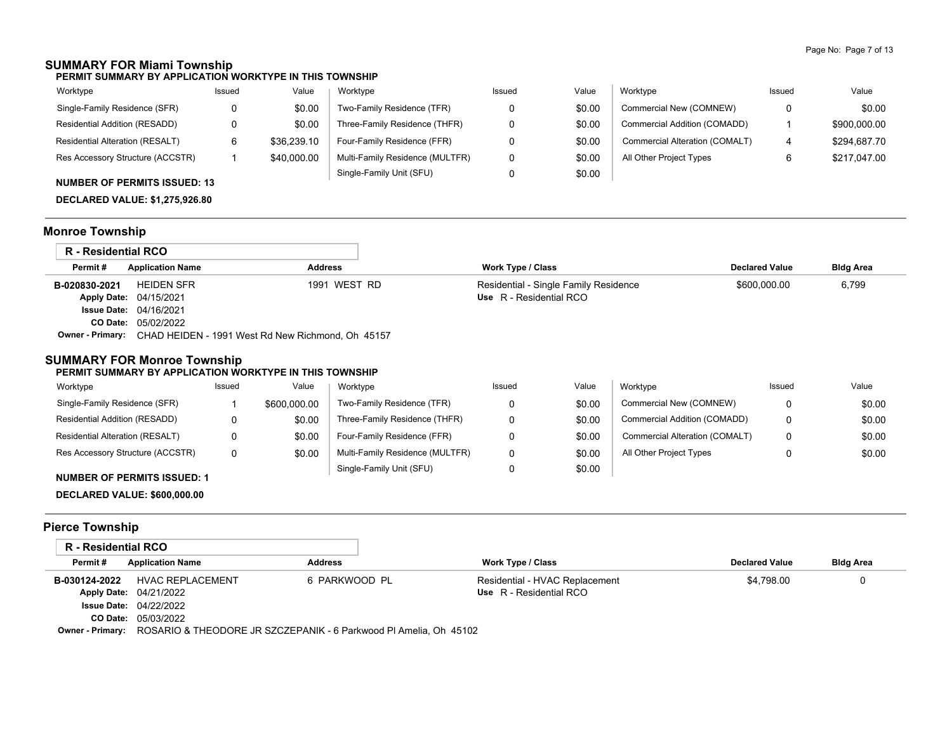## **SUMMARY FOR Miami Township**

**PERMIT SUMMARY BY APPLICATION WORKTYPE IN THIS TOWNSHIP**

| Worktype                         | Issued | Value       | Worktype                        | Issued | Value  | Worktype                       | Issued | Value        |
|----------------------------------|--------|-------------|---------------------------------|--------|--------|--------------------------------|--------|--------------|
| Single-Family Residence (SFR)    |        | \$0.00      | Two-Family Residence (TFR)      |        | \$0.00 | Commercial New (COMNEW)        |        | \$0.00       |
| Residential Addition (RESADD)    |        | \$0.00      | Three-Family Residence (THFR)   |        | \$0.00 | Commercial Addition (COMADD)   |        | \$900,000.00 |
| Residential Alteration (RESALT)  |        | \$36,239.10 | Four-Family Residence (FFR)     |        | \$0.00 | Commercial Alteration (COMALT) | 4      | \$294.687.70 |
| Res Accessory Structure (ACCSTR) |        | \$40,000.00 | Multi-Family Residence (MULTFR) |        | \$0.00 | All Other Project Types        |        | \$217.047.00 |
| NUBLERED OF BEBRIER IOOUED. 10   |        |             | Single-Family Unit (SFU)        |        | \$0.00 |                                |        |              |

## **NUMBER OF PERMITS ISSUED: 13**

**DECLARED VALUE: \$1,275,926.80**

# **Monroe Township**

| R - Residential RCO |                               |                                                   |                                       |                       |                  |
|---------------------|-------------------------------|---------------------------------------------------|---------------------------------------|-----------------------|------------------|
| Permit#             | <b>Application Name</b>       | <b>Address</b>                                    | Work Type / Class                     | <b>Declared Value</b> | <b>Bldg Area</b> |
| B-020830-2021       | <b>HEIDEN SFR</b>             | 1991 WEST RD                                      | Residential - Single Family Residence | \$600,000.00          | 6,799            |
|                     | <b>Apply Date: 04/15/2021</b> |                                                   | Use R - Residential RCO               |                       |                  |
|                     | <b>Issue Date: 04/16/2021</b> |                                                   |                                       |                       |                  |
|                     | <b>CO Date: 05/02/2022</b>    |                                                   |                                       |                       |                  |
| Owner - Primary:    |                               | CHAD HEIDEN - 1991 West Rd New Richmond, Oh 45157 |                                       |                       |                  |

### **SUMMARY FOR Monroe Township**

#### **PERMIT SUMMARY BY APPLICATION WORKTYPE IN THIS TOWNSHIP**

| Worktype                                                                                                                                                                                                                                                                                                                                                                                                                                                   | Issued | Value        | Worktype                        | Issued | Value  | Worktype                       | Issued | Value  |
|------------------------------------------------------------------------------------------------------------------------------------------------------------------------------------------------------------------------------------------------------------------------------------------------------------------------------------------------------------------------------------------------------------------------------------------------------------|--------|--------------|---------------------------------|--------|--------|--------------------------------|--------|--------|
| Single-Family Residence (SFR)                                                                                                                                                                                                                                                                                                                                                                                                                              |        | \$600,000.00 | Two-Family Residence (TFR)      |        | \$0.00 | Commercial New (COMNEW)        |        | \$0.00 |
| Residential Addition (RESADD)                                                                                                                                                                                                                                                                                                                                                                                                                              |        | \$0.00       | Three-Family Residence (THFR)   |        | \$0.00 | Commercial Addition (COMADD)   | 0      | \$0.00 |
| Residential Alteration (RESALT)                                                                                                                                                                                                                                                                                                                                                                                                                            |        | \$0.00       | Four-Family Residence (FFR)     |        | \$0.00 | Commercial Alteration (COMALT) | 0      | \$0.00 |
| Res Accessory Structure (ACCSTR)                                                                                                                                                                                                                                                                                                                                                                                                                           | 0      | \$0.00       | Multi-Family Residence (MULTFR) |        | \$0.00 | All Other Project Types        |        | \$0.00 |
| $\mathbf{1} \cup \mathbf{1} \cup \mathbf{2} \cup \mathbf{3} \cup \mathbf{4} \cup \mathbf{5} \cup \mathbf{6} \cup \mathbf{5} \cup \mathbf{6} \cup \mathbf{7} \cup \mathbf{8} \cup \mathbf{8} \cup \mathbf{9} \cup \mathbf{1} \cup \mathbf{1} \cup \mathbf{1} \cup \mathbf{1} \cup \mathbf{1} \cup \mathbf{1} \cup \mathbf{1} \cup \mathbf{1} \cup \mathbf{1} \cup \mathbf{1} \cup \mathbf{1} \cup \mathbf{1} \cup \mathbf{1} \cup \mathbf{1} \cup \mathbf{$ |        |              | Single-Family Unit (SFU)        |        | \$0.00 |                                |        |        |

#### **NUMBER OF PERMITS ISSUED: 1**

**DECLARED VALUE: \$600,000.00**

# **Pierce Township**

| R - Residential RCO |                                                                                    |                |                                |                       |                  |
|---------------------|------------------------------------------------------------------------------------|----------------|--------------------------------|-----------------------|------------------|
| Permit#             | <b>Application Name</b>                                                            | <b>Address</b> | Work Type / Class              | <b>Declared Value</b> | <b>Bldg Area</b> |
| B-030124-2022       | HVAC REPLACEMENT                                                                   | 6 PARKWOOD PL  | Residential - HVAC Replacement | \$4.798.00            |                  |
|                     | <b>Apply Date: 04/21/2022</b>                                                      |                | Use R - Residential RCO        |                       |                  |
|                     | <b>Issue Date: 04/22/2022</b>                                                      |                |                                |                       |                  |
|                     | CO Date: 05/03/2022                                                                |                |                                |                       |                  |
|                     | Owner - Primary: ROSARIO & THEODORE JR SZCZEPANIK - 6 Parkwood PI Amelia, Oh 45102 |                |                                |                       |                  |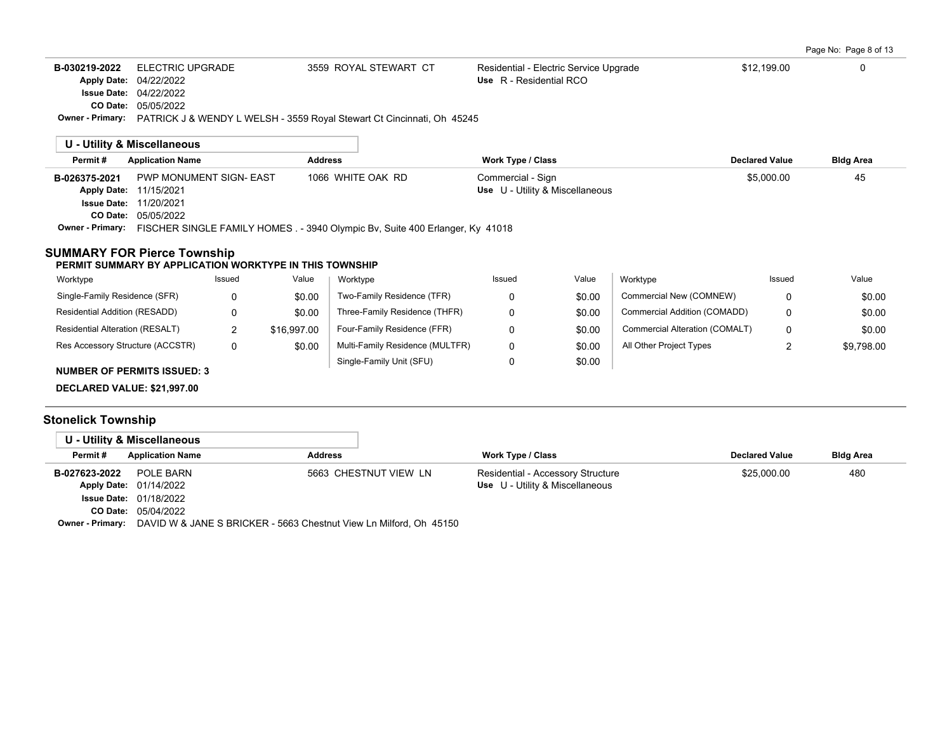| Page No: Page 8 of 13 |
|-----------------------|
|-----------------------|

| <b>ELECTRIC UPGRADE</b><br>\$12,199.00<br>B-030219-2022<br>3559 ROYAL STEWART CT<br>Residential - Electric Service Upgrade<br>0<br>Use R - Residential RCO<br>04/22/2022<br><b>Apply Date:</b><br>04/22/2022<br><b>Issue Date:</b><br>CO Date:<br>05/05/2022<br>Owner - Primary:<br>PATRICK J & WENDY L WELSH - 3559 Royal Stewart Ct Cincinnati, Oh 45245<br>U - Utility & Miscellaneous<br>Permit#<br><b>Application Name</b><br><b>Address</b><br><b>Work Type / Class</b><br><b>Declared Value</b><br>1066 WHITE OAK RD<br>PWP MONUMENT SIGN- EAST<br>\$5,000.00<br>Commercial - Sign<br>45<br>B-026375-2021<br>Use U - Utility & Miscellaneous<br><b>Apply Date:</b><br>11/15/2021<br><b>Issue Date:</b><br>11/20/2021<br>CO Date:<br>05/05/2022<br><b>Owner - Primary:</b><br>FISCHER SINGLE FAMILY HOMES . - 3940 Olympic By, Suite 400 Erlanger, Ky 41018<br><b>SUMMARY FOR Pierce Township</b><br>PERMIT SUMMARY BY APPLICATION WORKTYPE IN THIS TOWNSHIP<br>Value<br>Worktype<br>Worktype<br>Worktype<br>Value<br>Issued<br>Issued<br>Issued<br>Two-Family Residence (TFR)<br>Commercial New (COMNEW)<br>Single-Family Residence (SFR)<br>\$0.00<br>\$0.00<br>0<br>0<br>0<br>0<br>\$0.00<br>0<br>\$0.00<br>Commercial Addition (COMADD)<br>0<br>Residential Addition (RESADD)<br>Three-Family Residence (THFR)<br>$\overline{2}$<br>Residential Alteration (RESALT)<br>Four-Family Residence (FFR)<br>0<br>Commercial Alteration (COMALT)<br>\$16,997.00<br>\$0.00<br>0<br>0<br>$\overline{2}$<br>Res Accessory Structure (ACCSTR)<br>\$0.00<br>Multi-Family Residence (MULTFR)<br>0<br>\$0.00<br>All Other Project Types |  |  |  |  |                  |
|-------------------------------------------------------------------------------------------------------------------------------------------------------------------------------------------------------------------------------------------------------------------------------------------------------------------------------------------------------------------------------------------------------------------------------------------------------------------------------------------------------------------------------------------------------------------------------------------------------------------------------------------------------------------------------------------------------------------------------------------------------------------------------------------------------------------------------------------------------------------------------------------------------------------------------------------------------------------------------------------------------------------------------------------------------------------------------------------------------------------------------------------------------------------------------------------------------------------------------------------------------------------------------------------------------------------------------------------------------------------------------------------------------------------------------------------------------------------------------------------------------------------------------------------------------------------------------------------------------------------------------------|--|--|--|--|------------------|
|                                                                                                                                                                                                                                                                                                                                                                                                                                                                                                                                                                                                                                                                                                                                                                                                                                                                                                                                                                                                                                                                                                                                                                                                                                                                                                                                                                                                                                                                                                                                                                                                                                     |  |  |  |  |                  |
|                                                                                                                                                                                                                                                                                                                                                                                                                                                                                                                                                                                                                                                                                                                                                                                                                                                                                                                                                                                                                                                                                                                                                                                                                                                                                                                                                                                                                                                                                                                                                                                                                                     |  |  |  |  |                  |
|                                                                                                                                                                                                                                                                                                                                                                                                                                                                                                                                                                                                                                                                                                                                                                                                                                                                                                                                                                                                                                                                                                                                                                                                                                                                                                                                                                                                                                                                                                                                                                                                                                     |  |  |  |  | <b>Bldg Area</b> |
|                                                                                                                                                                                                                                                                                                                                                                                                                                                                                                                                                                                                                                                                                                                                                                                                                                                                                                                                                                                                                                                                                                                                                                                                                                                                                                                                                                                                                                                                                                                                                                                                                                     |  |  |  |  |                  |
|                                                                                                                                                                                                                                                                                                                                                                                                                                                                                                                                                                                                                                                                                                                                                                                                                                                                                                                                                                                                                                                                                                                                                                                                                                                                                                                                                                                                                                                                                                                                                                                                                                     |  |  |  |  | Value            |
|                                                                                                                                                                                                                                                                                                                                                                                                                                                                                                                                                                                                                                                                                                                                                                                                                                                                                                                                                                                                                                                                                                                                                                                                                                                                                                                                                                                                                                                                                                                                                                                                                                     |  |  |  |  | \$0.00           |
|                                                                                                                                                                                                                                                                                                                                                                                                                                                                                                                                                                                                                                                                                                                                                                                                                                                                                                                                                                                                                                                                                                                                                                                                                                                                                                                                                                                                                                                                                                                                                                                                                                     |  |  |  |  | \$0.00           |
|                                                                                                                                                                                                                                                                                                                                                                                                                                                                                                                                                                                                                                                                                                                                                                                                                                                                                                                                                                                                                                                                                                                                                                                                                                                                                                                                                                                                                                                                                                                                                                                                                                     |  |  |  |  | \$0.00           |
|                                                                                                                                                                                                                                                                                                                                                                                                                                                                                                                                                                                                                                                                                                                                                                                                                                                                                                                                                                                                                                                                                                                                                                                                                                                                                                                                                                                                                                                                                                                                                                                                                                     |  |  |  |  | \$9,798.00       |
| Single-Family Unit (SFU)<br>0<br>\$0.00<br><b>NUMBER OF PERMITS ISSUED: 3</b>                                                                                                                                                                                                                                                                                                                                                                                                                                                                                                                                                                                                                                                                                                                                                                                                                                                                                                                                                                                                                                                                                                                                                                                                                                                                                                                                                                                                                                                                                                                                                       |  |  |  |  |                  |

**DECLARED VALUE: \$21,997.00**

# **Stonelick Township**

 $\sim$ 

|               | U - Utility & Miscellaneous   |                |                       |                                   |                       |                  |
|---------------|-------------------------------|----------------|-----------------------|-----------------------------------|-----------------------|------------------|
| Permit#       | <b>Application Name</b>       | <b>Address</b> |                       | <b>Work Type / Class</b>          | <b>Declared Value</b> | <b>Bldg Area</b> |
| B-027623-2022 | POLE BARN                     |                | 5663 CHESTNUT VIEW LN | Residential - Accessory Structure | \$25,000.00           | 480              |
|               | Apply Date: 01/14/2022        |                |                       | Use U - Utility & Miscellaneous   |                       |                  |
|               | <b>Issue Date: 01/18/2022</b> |                |                       |                                   |                       |                  |
|               | CO Date: 05/04/2022           |                |                       |                                   |                       |                  |

**Owner - Primary:** DAVID W & JANE S BRICKER - 5663 Chestnut View Ln Milford, Oh 45150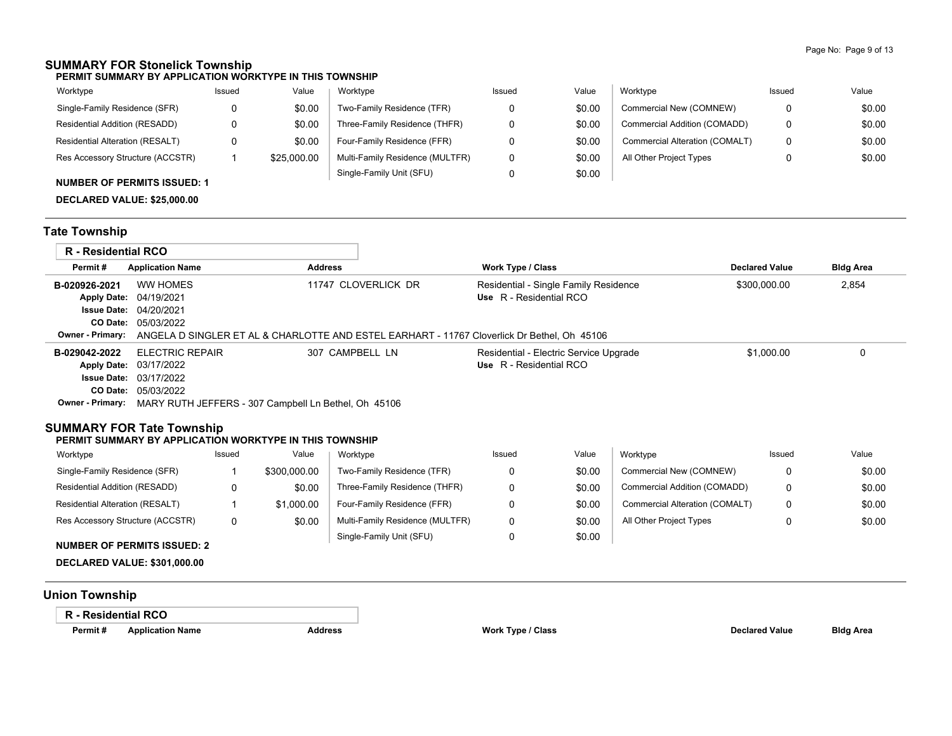## **SUMMARY FOR Stonelick Township**

**PERMIT SUMMARY BY APPLICATION WORKTYPE IN THIS TOWNSHIP**

| Worktype                         | Issued | Value       | Worktype                        | Issued | Value  | Worktype                       | Issued | Value  |
|----------------------------------|--------|-------------|---------------------------------|--------|--------|--------------------------------|--------|--------|
| Single-Family Residence (SFR)    | 0      | \$0.00      | Two-Family Residence (TFR)      |        | \$0.00 | Commercial New (COMNEW)        |        | \$0.00 |
| Residential Addition (RESADD)    | 0      | \$0.00      | Three-Family Residence (THFR)   |        | \$0.00 | Commercial Addition (COMADD)   |        | \$0.00 |
| Residential Alteration (RESALT)  | 0      | \$0.00      | Four-Family Residence (FFR)     |        | \$0.00 | Commercial Alteration (COMALT) |        | \$0.00 |
| Res Accessory Structure (ACCSTR) |        | \$25,000.00 | Multi-Family Residence (MULTFR) |        | \$0.00 | All Other Project Types        |        | \$0.00 |
|                                  |        |             | Single-Family Unit (SFU)        |        | \$0.00 |                                |        |        |

### **NUMBER OF PERMITS ISSUED: 1**

**DECLARED VALUE: \$25,000.00**

## **Tate Township**

| R - Residential RCO |                                                                                             |                     |                                        |                       |                  |  |  |  |  |
|---------------------|---------------------------------------------------------------------------------------------|---------------------|----------------------------------------|-----------------------|------------------|--|--|--|--|
| Permit#             | <b>Application Name</b>                                                                     | <b>Address</b>      | <b>Work Type / Class</b>               | <b>Declared Value</b> | <b>Bldg Area</b> |  |  |  |  |
| B-020926-2021       | WW HOMES                                                                                    | 11747 CLOVERLICK DR | Residential - Single Family Residence  | \$300,000.00          | 2,854            |  |  |  |  |
|                     | <b>Apply Date: 04/19/2021</b>                                                               |                     | Use R - Residential RCO                |                       |                  |  |  |  |  |
|                     | <b>Issue Date: 04/20/2021</b>                                                               |                     |                                        |                       |                  |  |  |  |  |
|                     | <b>CO Date: 05/03/2022</b>                                                                  |                     |                                        |                       |                  |  |  |  |  |
| Owner - Primarv:    | ANGELA D SINGLER ET AL & CHARLOTTE AND ESTEL EARHART - 11767 Cloverlick Dr Bethel. Oh 45106 |                     |                                        |                       |                  |  |  |  |  |
| B-029042-2022       | <b>ELECTRIC REPAIR</b>                                                                      | 307 CAMPBELL LN     | Residential - Electric Service Upgrade | \$1,000.00            | 0                |  |  |  |  |
|                     | Apply Date: 03/17/2022                                                                      |                     | Use R - Residential RCO                |                       |                  |  |  |  |  |
|                     |                                                                                             |                     |                                        |                       |                  |  |  |  |  |
|                     | <b>Issue Date: 03/17/2022</b>                                                               |                     |                                        |                       |                  |  |  |  |  |
| CO Date:            | 05/03/2022                                                                                  |                     |                                        |                       |                  |  |  |  |  |

# **SUMMARY FOR Tate Township**

#### **PERMIT SUMMARY BY APPLICATION WORKTYPE IN THIS TOWNSHIP**

| Worktype                               | Issued | Value        | Worktype                        | Issued | Value  | Worktype                       | Issued | Value  |
|----------------------------------------|--------|--------------|---------------------------------|--------|--------|--------------------------------|--------|--------|
| Single-Family Residence (SFR)          |        | \$300,000.00 | Two-Family Residence (TFR)      |        | \$0.00 | Commercial New (COMNEW)        |        | \$0.00 |
| Residential Addition (RESADD)          |        | \$0.00       | Three-Family Residence (THFR)   |        | \$0.00 | Commercial Addition (COMADD)   |        | \$0.00 |
| <b>Residential Alteration (RESALT)</b> |        | \$1.000.00   | Four-Family Residence (FFR)     |        | \$0.00 | Commercial Alteration (COMALT) | 0      | \$0.00 |
| Res Accessory Structure (ACCSTR)       |        | \$0.00       | Multi-Family Residence (MULTFR) |        | \$0.00 | All Other Project Types        |        | \$0.00 |
|                                        |        |              | Single-Family Unit (SFU)        |        | \$0.00 |                                |        |        |

#### **NUMBER OF PERMITS ISSUED: 2**

**DECLARED VALUE: \$301,000.00**

## **Union Township**

### **R - Residential RCO**

**Permit # Application Name Address Work Type / Class Declared Value Bldg Area**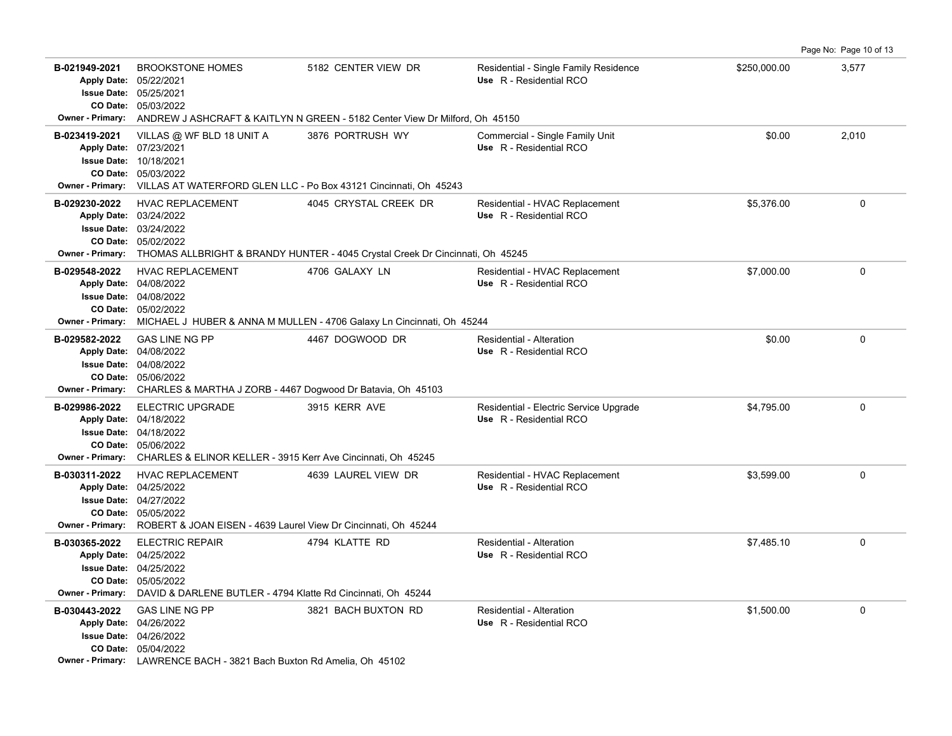B-021949-2021 BROOKSTONE HOMES 5182 CENTER VIEW DR Residential - Single Family Residence \$250,000.00 3,577 05/03/2022 **CO Date:** 05/25/2021 **Issue Date:** Apply Date: 05/22/2021 **Apply Date: Use** R - Residential RCO **Owner - Primary:** ANDREW J ASHCRAFT & KAITLYN N GREEN - 5182 Center View Dr Milford, Oh 45150 **B-023419-2021** VILLAS @ WF BLD 18 UNIT A 3876 PORTRUSH WY Commercial - Single Family Unit \$0.00 \$0.00 2,010 05/03/2022 **CO Date:** 10/18/2021 **Issue Date:** 07/23/2021 **Apply Date: Use** R - Residential RCO **Owner - Primary:** VILLAS AT WATERFORD GLEN LLC - Po Box 43121 Cincinnati, Oh 45243 B-029230-2022 HVAC REPLACEMENT 4045 CRYSTAL CREEK DR Residential - HVAC Replacement \$5,376.00 \$5,376.00 05/02/2022 **CO Date:** 03/24/2022 **Issue Date:** 03/24/2022 **Apply Date: Use** R - Residential RCO **Owner - Primary:** THOMAS ALLBRIGHT & BRANDY HUNTER - 4045 Crystal Creek Dr Cincinnati, Oh 45245 **B-029548-2022** \$7,000.00 0 HVAC REPLACEMENT 4706 GALAXY LN Residential - HVAC Replacement 05/02/2022 **CO Date:** 04/08/2022 **Issue Date:** Apply Date: 04/08/2022 **Apply Date: Use** R - Residential RCO **Owner - Primary:** MICHAEL J HUBER & ANNA M MULLEN - 4706 Galaxy Ln Cincinnati, Oh 45244 **B-029582-2022** GAS LINE NG PP 4467 DOGWOOD DR Residential - Alteration \$0.00 0 05/06/2022 **CO Date:** 04/08/2022 **Issue Date:** Apply Date: 04/08/2022 GAS LINE NG PP  $\overline{A}$  4467 DOGWOOD DR
Residential - Alteration **Apply Date: Use** R - Residential RCO **Owner - Primary:** CHARLES & MARTHA J ZORB - 4467 Dogwood Dr Batavia, Oh 45103 B-029986-2022 ELECTRIC UPGRADE 3915 KERR AVE Residential - Electric Service Upgrade \$4,795.00 **\$4,795**.00 0 05/06/2022 **CO Date:** 04/18/2022 **Issue Date:** Apply Date: 04/18/2022 **Apply Date: Use** R - Residential RCO **Owner - Primary:** CHARLES & ELINOR KELLER - 3915 Kerr Ave Cincinnati, Oh 45245 **B-030311-2022** \$3,599.00 0 HVAC REPLACEMENT 4639 LAUREL VIEW DR Residential - HVAC Replacement 05/05/2022 **CO Date:** 04/27/2022 **Issue Date:** Apply Date: 04/25/2022 **Apply Date: Use** R - Residential RCO **Owner - Primary:** ROBERT & JOAN EISEN - 4639 Laurel View Dr Cincinnati, Oh 45244 **B-030365-2022** \$7,485.10 0 05/05/2022 **CO Date:** 04/25/2022 **Issue Date:** Apply Date: 04/25/2022 ELECTRIC REPAIR 4794 KLATTE RD Residential - Alteration **Apply Date: Use** R - Residential RCO **Owner - Primary:** DAVID & DARLENE BUTLER - 4794 Klatte Rd Cincinnati, Oh 45244 **B-030443-2022** GAS LINE NG PP 3821 BACH BUXTON RD Residential - Alteration \$1,500.00 \$1,500.00 0 05/04/2022 **CO Date:** 04/26/2022 **Issue Date:** Apply Date: 04/26/2022 **Apply Date: Use** R - Residential RCO **Owner - Primary:** LAWRENCE BACH - 3821 Bach Buxton Rd Amelia, Oh 45102

Page No: Page 10 of 13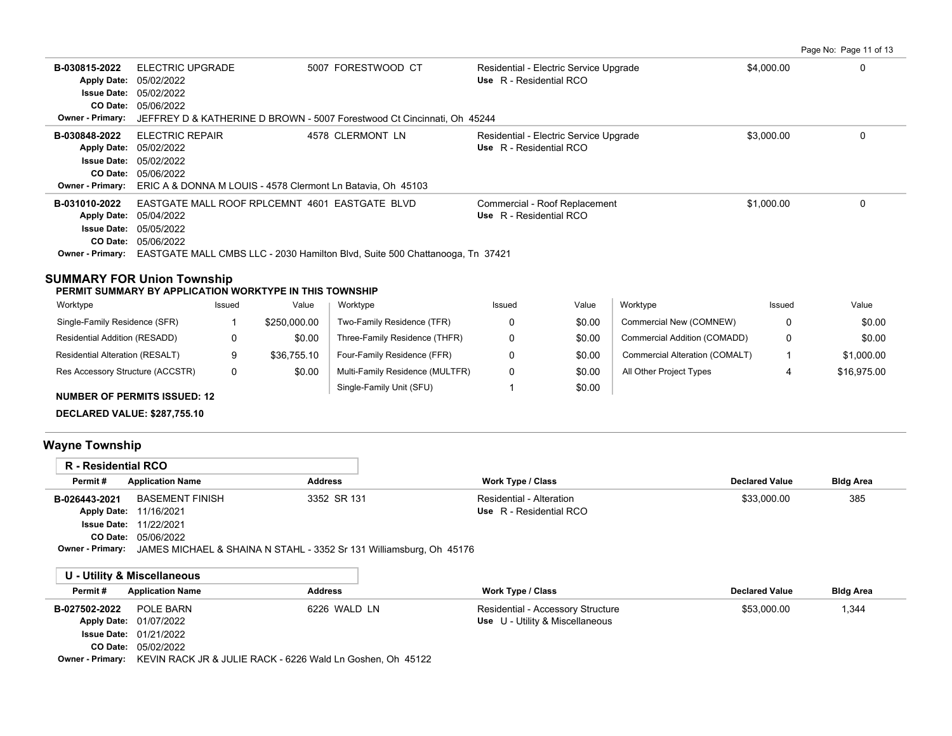Page No: Page 11 of 13

| B-030815-2022<br><b>Apply Date:</b><br><b>Issue Date:</b> | ELECTRIC UPGRADE<br>05/02/2022<br>05/02/2022                                                                  | 5007 FORESTWOOD CT                                                           | Residential - Electric Service Upgrade<br>Use R - Residential RCO | \$4,000.00 | 0 |
|-----------------------------------------------------------|---------------------------------------------------------------------------------------------------------------|------------------------------------------------------------------------------|-------------------------------------------------------------------|------------|---|
| CO Date:                                                  | 05/06/2022                                                                                                    |                                                                              |                                                                   |            |   |
| <b>Owner - Primary:</b>                                   |                                                                                                               | JEFFREY D & KATHERINE D BROWN - 5007 Forestwood Ct Cincinnati, Oh 45244      |                                                                   |            |   |
| B-030848-2022<br><b>Issue Date:</b><br>CO Date:           | <b>ELECTRIC REPAIR</b><br>Apply Date: 05/02/2022<br>05/02/2022<br>05/06/2022                                  | 4578 CLERMONT LN                                                             | Residential - Electric Service Upgrade<br>Use R - Residential RCO | \$3,000.00 |   |
| <b>Owner - Primary:</b><br>B-031010-2022                  | ERIC A & DONNA M LOUIS - 4578 Clermont Ln Batavia, Oh 45103<br>EASTGATE MALL ROOF RPLCEMNT 4601 EASTGATE BLVD |                                                                              | Commercial - Roof Replacement                                     | \$1,000.00 | 0 |
| <b>Apply Date:</b>                                        | 05/04/2022                                                                                                    |                                                                              | Use R - Residential RCO                                           |            |   |
| <b>Issue Date:</b>                                        | 05/05/2022                                                                                                    |                                                                              |                                                                   |            |   |
| CO Date:<br>Owner - Primary:                              | 05/06/2022                                                                                                    | EASTGATE MALL CMBS LLC - 2030 Hamilton Blvd, Suite 500 Chattanooga, Tn 37421 |                                                                   |            |   |
|                                                           |                                                                                                               |                                                                              |                                                                   |            |   |

### **SUMMARY FOR Union Township**

#### **PERMIT SUMMARY BY APPLICATION WORKTYPE IN THIS TOWNSHIP**

| Worktype                         | Issued | Value        | Worktype                        | Issued | Value  | Worktype                       | Issued | Value       |
|----------------------------------|--------|--------------|---------------------------------|--------|--------|--------------------------------|--------|-------------|
| Single-Family Residence (SFR)    |        | \$250,000.00 | Two-Family Residence (TFR)      |        | \$0.00 | Commercial New (COMNEW)        |        | \$0.00      |
| Residential Addition (RESADD)    |        | \$0.00       | Three-Family Residence (THFR)   |        | \$0.00 | Commercial Addition (COMADD)   |        | \$0.00      |
| Residential Alteration (RESALT)  | o      | \$36,755.10  | Four-Family Residence (FFR)     |        | \$0.00 | Commercial Alteration (COMALT) |        | \$1,000.00  |
| Res Accessory Structure (ACCSTR) | 0      | \$0.00       | Multi-Family Residence (MULTFR) |        | \$0.00 | All Other Project Types        |        | \$16.975.00 |
| MUMBER OF REDMITS ISSUED, 42     |        |              | Single-Family Unit (SFU)        |        | \$0.00 |                                |        |             |

**NUMBER OF PERMITS ISSUED: 12**

**DECLARED VALUE: \$287,755.10**

# **Wayne Township**

| R - Residential RCO     |                                                                     |                |                          |                       |                  |
|-------------------------|---------------------------------------------------------------------|----------------|--------------------------|-----------------------|------------------|
| Permit#                 | <b>Application Name</b>                                             | <b>Address</b> | Work Type / Class        | <b>Declared Value</b> | <b>Bldg Area</b> |
| B-026443-2021           | BASEMENT FINISH                                                     | 3352 SR 131    | Residential - Alteration | \$33,000.00           | 385              |
|                         | Apply Date: 11/16/2021                                              |                | Use R - Residential RCO  |                       |                  |
|                         | <b>Issue Date: 11/22/2021</b>                                       |                |                          |                       |                  |
|                         | <b>CO Date: 05/06/2022</b>                                          |                |                          |                       |                  |
| <b>Owner - Primary:</b> | JAMES MICHAEL & SHAINA N STAHL - 3352 Sr 131 Williamsburg, Oh 45176 |                |                          |                       |                  |

|               | U - Utility & Miscellaneous                                                 |                |                                   |                       |                  |
|---------------|-----------------------------------------------------------------------------|----------------|-----------------------------------|-----------------------|------------------|
| Permit#       | <b>Application Name</b>                                                     | <b>Address</b> | Work Type / Class                 | <b>Declared Value</b> | <b>Bldg Area</b> |
| B-027502-2022 | POLE BARN                                                                   | 6226 WALD LN   | Residential - Accessory Structure | \$53,000.00           | 1,344            |
|               | <b>Apply Date: 01/07/2022</b>                                               |                | Use U - Utility & Miscellaneous   |                       |                  |
|               | <b>Issue Date: 01/21/2022</b>                                               |                |                                   |                       |                  |
|               | <b>CO Date: 05/02/2022</b>                                                  |                |                                   |                       |                  |
|               | Owner - Primary: KEVIN RACK JR & JULIE RACK - 6226 Wald Ln Goshen, Oh 45122 |                |                                   |                       |                  |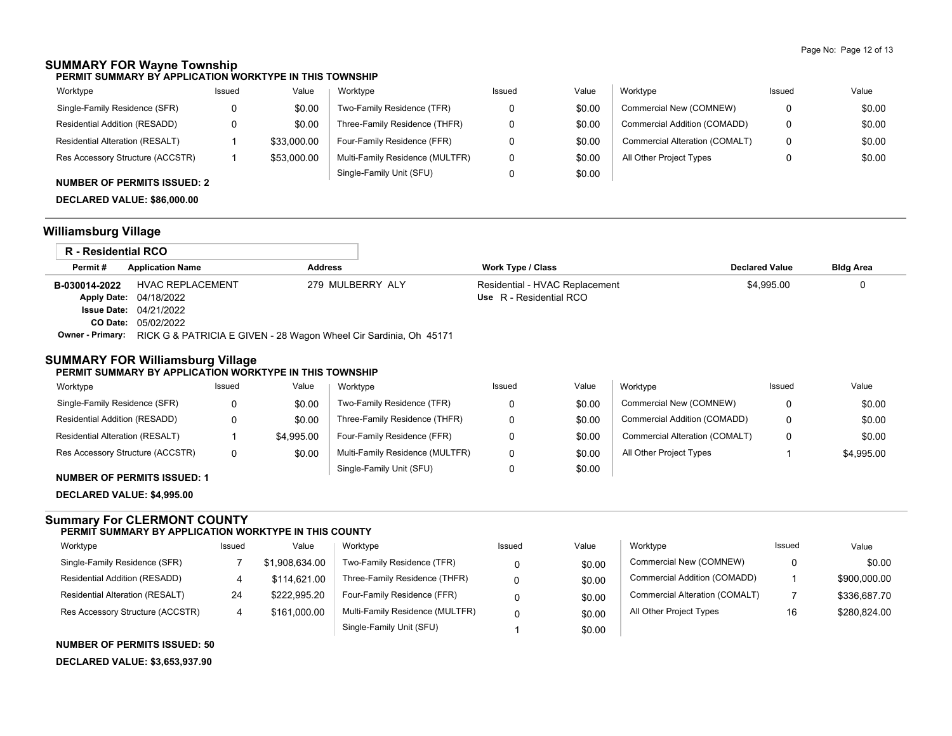# **SUMMARY FOR Wayne Township**

**PERMIT SUMMARY BY APPLICATION WORKTYPE IN THIS TOWNSHIP**

| Worktype                         | Issued | Value       | Worktype                        | Issued | Value  | Worktype                       | Issued | Value  |
|----------------------------------|--------|-------------|---------------------------------|--------|--------|--------------------------------|--------|--------|
| Single-Family Residence (SFR)    |        | \$0.00      | Two-Family Residence (TFR)      |        | \$0.00 | Commercial New (COMNEW)        | 0      | \$0.00 |
| Residential Addition (RESADD)    |        | \$0.00      | Three-Family Residence (THFR)   |        | \$0.00 | Commercial Addition (COMADD)   | 0      | \$0.00 |
| Residential Alteration (RESALT)  |        | \$33,000.00 | Four-Family Residence (FFR)     |        | \$0.00 | Commercial Alteration (COMALT) | 0      | \$0.00 |
| Res Accessory Structure (ACCSTR) |        | \$53,000.00 | Multi-Family Residence (MULTFR) |        | \$0.00 | All Other Project Types        |        | \$0.00 |
|                                  |        |             | Single-Family Unit (SFU)        |        | \$0.00 |                                |        |        |

### **NUMBER OF PERMITS ISSUED: 2**

**DECLARED VALUE: \$86,000.00**

## **Williamsburg Village**

| <b>R</b> - Residential RCO |                                                                                    |                  |                                |                       |                  |
|----------------------------|------------------------------------------------------------------------------------|------------------|--------------------------------|-----------------------|------------------|
| Permit#                    | <b>Application Name</b>                                                            | <b>Address</b>   | <b>Work Type / Class</b>       | <b>Declared Value</b> | <b>Bldg Area</b> |
| B-030014-2022              | <b>HVAC REPLACEMENT</b>                                                            | 279 MULBERRY ALY | Residential - HVAC Replacement | \$4.995.00            |                  |
|                            | <b>Apply Date: 04/18/2022</b>                                                      |                  | Use R - Residential RCO        |                       |                  |
|                            | <b>Issue Date: 04/21/2022</b>                                                      |                  |                                |                       |                  |
|                            | CO Date: 05/02/2022                                                                |                  |                                |                       |                  |
|                            | Owner - Primary: RICK G & PATRICIA E GIVEN - 28 Wagon Wheel Cir Sardinia, Oh 45171 |                  |                                |                       |                  |

### **SUMMARY FOR Williamsburg Village**

#### **PERMIT SUMMARY BY APPLICATION WORKTYPE IN THIS TOWNSHIP**

| Worktype                         | Issued | Value      | Worktype                        | Issued | Value  | Worktype                       | Issued | Value      |
|----------------------------------|--------|------------|---------------------------------|--------|--------|--------------------------------|--------|------------|
| Single-Family Residence (SFR)    | 0      | \$0.00     | Two-Family Residence (TFR)      |        | \$0.00 | Commercial New (COMNEW)        |        | \$0.00     |
| Residential Addition (RESADD)    | 0      | \$0.00     | Three-Family Residence (THFR)   |        | \$0.00 | Commercial Addition (COMADD)   |        | \$0.00     |
| Residential Alteration (RESALT)  |        | \$4.995.00 | Four-Family Residence (FFR)     |        | \$0.00 | Commercial Alteration (COMALT) |        | \$0.00     |
| Res Accessory Structure (ACCSTR) | 0      | \$0.00     | Multi-Family Residence (MULTFR) |        | \$0.00 | All Other Project Types        |        | \$4,995.00 |
|                                  |        |            | Single-Family Unit (SFU)        |        | \$0.00 |                                |        |            |

### **NUMBER OF PERMITS ISSUED: 1**

**DECLARED VALUE: \$4,995.00**

### **Summary For CLERMONT COUNTY PERMIT SUMMARY BY APPLICATION WORKTYPE IN THIS COUNTY**

| Worktype                         | Issued | Value          | Worktype                        | Issued | Value  | Worktype                       | Issued | Value        |
|----------------------------------|--------|----------------|---------------------------------|--------|--------|--------------------------------|--------|--------------|
| Single-Family Residence (SFR)    |        | \$1,908,634.00 | Two-Family Residence (TFR)      |        | \$0.00 | Commercial New (COMNEW)        |        | \$0.00       |
| Residential Addition (RESADD)    |        | \$114.621.00   | Three-Family Residence (THFR)   |        | \$0.00 | Commercial Addition (COMADD)   |        | \$900,000.00 |
| Residential Alteration (RESALT)  | 24     | \$222.995.20   | Four-Family Residence (FFR)     |        | \$0.00 | Commercial Alteration (COMALT) |        | \$336,687.70 |
| Res Accessory Structure (ACCSTR) |        | \$161,000.00   | Multi-Family Residence (MULTFR) |        | \$0.00 | All Other Project Types        | 16     | \$280,824.00 |
|                                  |        |                | Single-Family Unit (SFU)        |        | \$0.00 |                                |        |              |

**NUMBER OF PERMITS ISSUED: 50**

**DECLARED VALUE: \$3,653,937.90**